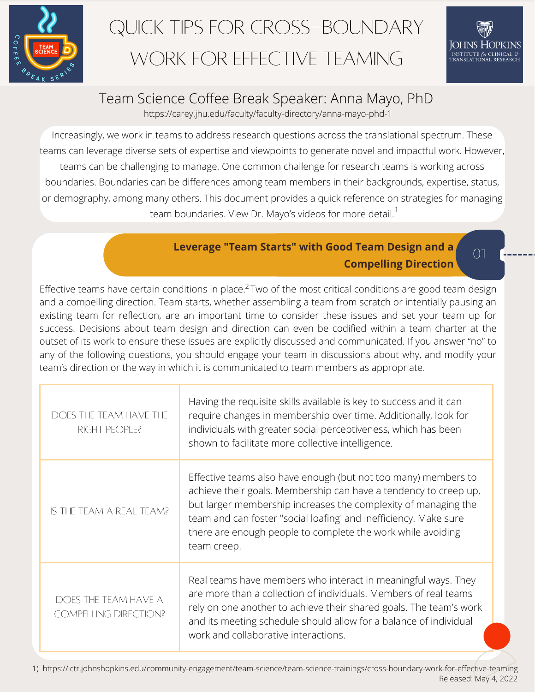

# Quick Tips for Cross-Boundary WORK FOR EFFECTIVE TFAMING

 $\bigcap$ 

## Team Science Coffee Break Speaker: Anna Mayo, PhD

https://carey.jhu.edu/faculty/faculty-directory/anna-mayo-phd-1

Increasingly, we work in teams to address research questions across the translational spectrum. These teams can leverage diverse sets of expertise and viewpoints to generate novel and impactful work. However, teams can be challenging to manage. One common challenge for research teams is working across boundaries. Boundaries can be differences among team members in their backgrounds, expertise, status, or demography, among many others. This document provides a quick reference on strategies for managing team boundaries. View Dr. Mayo's videos for more detail. $^\mathsf{T}$ 

#### **Leverage "Team Starts" with Good Team Design and a Compelling Direction**

02 existing team for reflection, are an important time to consider these issues and set your team up for Effective teams have certain conditions in place.<sup>2</sup> Two of the most critical conditions are good team design and a compelling direction. Team starts, whether assembling a team from scratch or intentially pausing an success. Decisions about team design and direction can even be codified within a team charter at the outset of its work to ensure these issues are explicitly discussed and communicated. If you answer "no" to any of the following questions, you should engage your team in discussions about why, and modify your team's direction or the way in which it is communicated to team members as appropriate.

| DOES THE TEAM HAVE THE<br>RIGHT PEOPLE?              | Having the requisite skills available is key to success and it can<br>require changes in membership over time. Additionally, look for<br>individuals with greater social perceptiveness, which has been<br>shown to facilitate more collective intelligence.                                                                                           |
|------------------------------------------------------|--------------------------------------------------------------------------------------------------------------------------------------------------------------------------------------------------------------------------------------------------------------------------------------------------------------------------------------------------------|
| IS THE TEAM A REAL TEAM?                             | Effective teams also have enough (but not too many) members to<br>achieve their goals. Membership can have a tendency to creep up,<br>but larger membership increases the complexity of managing the<br>team and can foster "social loafing' and inefficiency. Make sure<br>there are enough people to complete the work while avoiding<br>team creep. |
| DOES THE TEAM HAVE A<br><b>COMPELLING DIRECTION?</b> | Real teams have members who interact in meaningful ways. They<br>are more than a collection of individuals. Members of real teams<br>rely on one another to achieve their shared goals. The team's work<br>and its meeting schedule should allow for a balance of individual<br>work and collaborative interactions.                                   |

1) https://ictr.johnshopkins.edu/community-engagement/team-science/team-science-trainings/cross-boundary-work-for-effective-teaming Released: May 4, 2022